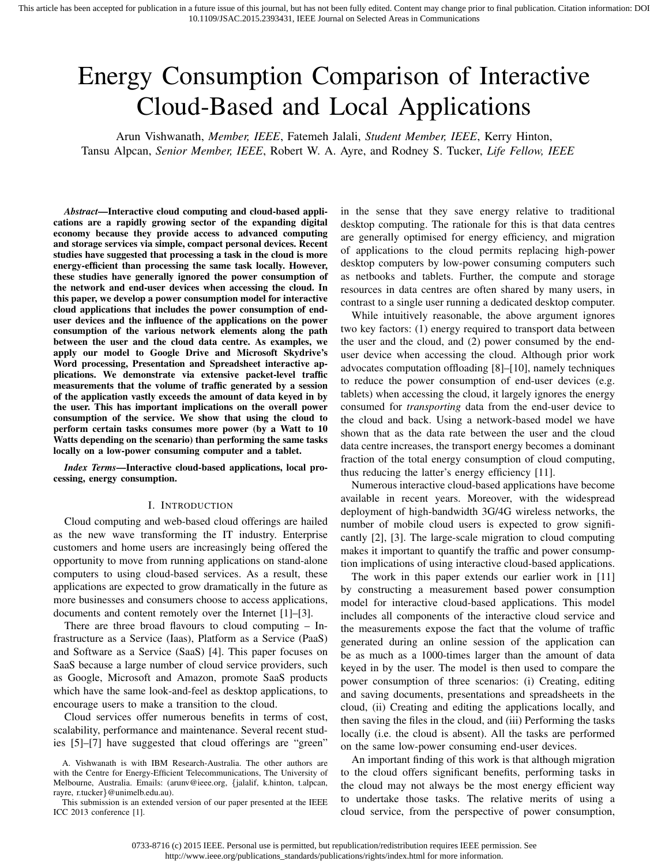# Energy Consumption Comparison of Interactive Cloud-Based and Local Applications

Arun Vishwanath, *Member, IEEE*, Fatemeh Jalali, *Student Member, IEEE*, Kerry Hinton, Tansu Alpcan, *Senior Member, IEEE*, Robert W. A. Ayre, and Rodney S. Tucker, *Life Fellow, IEEE*

*Abstract*—Interactive cloud computing and cloud-based applications are a rapidly growing sector of the expanding digital economy because they provide access to advanced computing and storage services via simple, compact personal devices. Recent studies have suggested that processing a task in the cloud is more energy-efficient than processing the same task locally. However, these studies have generally ignored the power consumption of the network and end-user devices when accessing the cloud. In this paper, we develop a power consumption model for interactive cloud applications that includes the power consumption of enduser devices and the influence of the applications on the power consumption of the various network elements along the path between the user and the cloud data centre. As examples, we apply our model to Google Drive and Microsoft Skydrive's Word processing, Presentation and Spreadsheet interactive applications. We demonstrate via extensive packet-level traffic measurements that the volume of traffic generated by a session of the application vastly exceeds the amount of data keyed in by the user. This has important implications on the overall power consumption of the service. We show that using the cloud to perform certain tasks consumes more power (by a Watt to 10 Watts depending on the scenario) than performing the same tasks locally on a low-power consuming computer and a tablet.

*Index Terms*—Interactive cloud-based applications, local processing, energy consumption.

#### I. INTRODUCTION

Cloud computing and web-based cloud offerings are hailed as the new wave transforming the IT industry. Enterprise customers and home users are increasingly being offered the opportunity to move from running applications on stand-alone computers to using cloud-based services. As a result, these applications are expected to grow dramatically in the future as more businesses and consumers choose to access applications, documents and content remotely over the Internet [1]–[3].

There are three broad flavours to cloud computing – Infrastructure as a Service (Iaas), Platform as a Service (PaaS) and Software as a Service (SaaS) [4]. This paper focuses on SaaS because a large number of cloud service providers, such as Google, Microsoft and Amazon, promote SaaS products which have the same look-and-feel as desktop applications, to encourage users to make a transition to the cloud.

Cloud services offer numerous benefits in terms of cost, scalability, performance and maintenance. Several recent studies [5]–[7] have suggested that cloud offerings are "green"

This submission is an extended version of our paper presented at the IEEE ICC 2013 conference [1].

in the sense that they save energy relative to traditional desktop computing. The rationale for this is that data centres are generally optimised for energy efficiency, and migration of applications to the cloud permits replacing high-power desktop computers by low-power consuming computers such as netbooks and tablets. Further, the compute and storage resources in data centres are often shared by many users, in contrast to a single user running a dedicated desktop computer.

While intuitively reasonable, the above argument ignores two key factors: (1) energy required to transport data between the user and the cloud, and (2) power consumed by the enduser device when accessing the cloud. Although prior work advocates computation offloading [8]–[10], namely techniques to reduce the power consumption of end-user devices (e.g. tablets) when accessing the cloud, it largely ignores the energy consumed for *transporting* data from the end-user device to the cloud and back. Using a network-based model we have shown that as the data rate between the user and the cloud data centre increases, the transport energy becomes a dominant fraction of the total energy consumption of cloud computing, thus reducing the latter's energy efficiency [11].

Numerous interactive cloud-based applications have become available in recent years. Moreover, with the widespread deployment of high-bandwidth 3G/4G wireless networks, the number of mobile cloud users is expected to grow significantly [2], [3]. The large-scale migration to cloud computing makes it important to quantify the traffic and power consumption implications of using interactive cloud-based applications.

The work in this paper extends our earlier work in [11] by constructing a measurement based power consumption model for interactive cloud-based applications. This model includes all components of the interactive cloud service and the measurements expose the fact that the volume of traffic generated during an online session of the application can be as much as a 1000-times larger than the amount of data keyed in by the user. The model is then used to compare the power consumption of three scenarios: (i) Creating, editing and saving documents, presentations and spreadsheets in the cloud, (ii) Creating and editing the applications locally, and then saving the files in the cloud, and (iii) Performing the tasks locally (i.e. the cloud is absent). All the tasks are performed on the same low-power consuming end-user devices.

An important finding of this work is that although migration to the cloud offers significant benefits, performing tasks in the cloud may not always be the most energy efficient way to undertake those tasks. The relative merits of using a cloud service, from the perspective of power consumption,

A. Vishwanath is with IBM Research-Australia. The other authors are with the Centre for Energy-Efficient Telecommunications, The University of Melbourne, Australia. Emails: (arunv@ieee.org, *{*jalalif, k.hinton, t.alpcan, rayre, r.tucker*}*@unimelb.edu.au).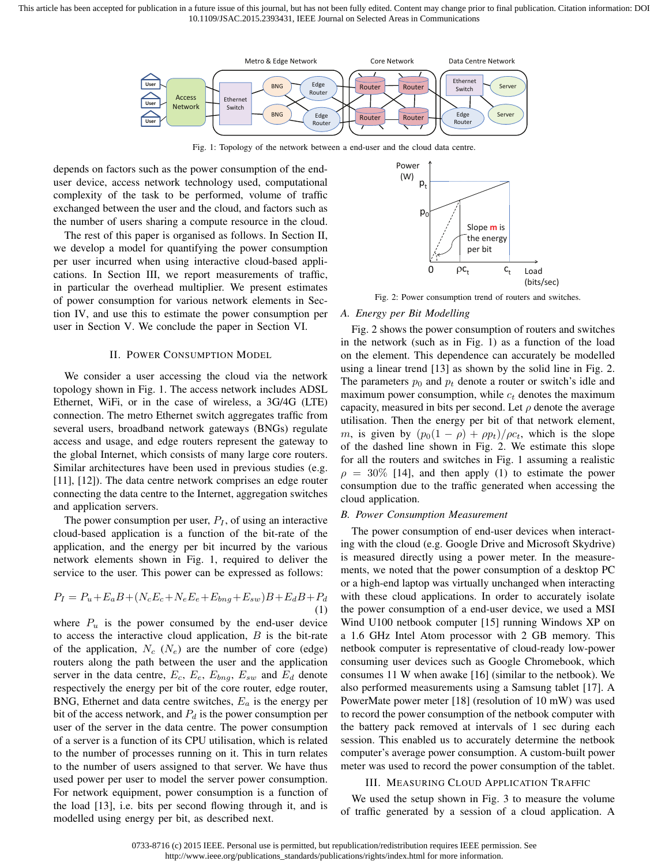This article has been accepted for publication in a future issue of this journal, but has not been fully edited. Content may change prior to final publication. Citation information: DOI 10.1109/JSAC.2015.2393431, IEEE Journal on Selected Areas in Communications



Fig. 1: Topology of the network between a end-user and the cloud data centre.

depends on factors such as the power consumption of the enduser device, access network technology used, computational complexity of the task to be performed, volume of traffic exchanged between the user and the cloud, and factors such as the number of users sharing a compute resource in the cloud.

The rest of this paper is organised as follows. In Section II, we develop a model for quantifying the power consumption per user incurred when using interactive cloud-based applications. In Section III, we report measurements of traffic, in particular the overhead multiplier. We present estimates of power consumption for various network elements in Section IV, and use this to estimate the power consumption per user in Section V. We conclude the paper in Section VI.

#### II. POWER CONSUMPTION MODEL

We consider a user accessing the cloud via the network topology shown in Fig. 1. The access network includes ADSL Ethernet, WiFi, or in the case of wireless, a 3G/4G (LTE) connection. The metro Ethernet switch aggregates traffic from several users, broadband network gateways (BNGs) regulate access and usage, and edge routers represent the gateway to the global Internet, which consists of many large core routers. Similar architectures have been used in previous studies (e.g. [11], [12]). The data centre network comprises an edge router connecting the data centre to the Internet, aggregation switches and application servers.

The power consumption per user,  $P_I$ , of using an interactive cloud-based application is a function of the bit-rate of the application, and the energy per bit incurred by the various network elements shown in Fig. 1, required to deliver the service to the user. This power can be expressed as follows:

$$
P_I = P_u + E_a B + (N_c E_c + N_e E_e + E_{bng} + E_{sw})B + E_d B + P_d
$$
\n(1)

where  $P_u$  is the power consumed by the end-user device to access the interactive cloud application, *B* is the bit-rate of the application,  $N_c$  ( $N_e$ ) are the number of core (edge) routers along the path between the user and the application server in the data centre,  $E_c$ ,  $E_e$ ,  $E_{bng}$ ,  $E_{sw}$  and  $E_d$  denote respectively the energy per bit of the core router, edge router, BNG, Ethernet and data centre switches, *E<sup>a</sup>* is the energy per bit of the access network, and *P<sup>d</sup>* is the power consumption per user of the server in the data centre. The power consumption of a server is a function of its CPU utilisation, which is related to the number of processes running on it. This in turn relates to the number of users assigned to that server. We have thus used power per user to model the server power consumption. For network equipment, power consumption is a function of the load [13], i.e. bits per second flowing through it, and is modelled using energy per bit, as described next.



Fig. 2: Power consumption trend of routers and switches.

#### *A. Energy per Bit Modelling*

Fig. 2 shows the power consumption of routers and switches in the network (such as in Fig. 1) as a function of the load on the element. This dependence can accurately be modelled using a linear trend [13] as shown by the solid line in Fig. 2. The parameters  $p_0$  and  $p_t$  denote a router or switch's idle and maximum power consumption, while *c<sup>t</sup>* denotes the maximum capacity, measured in bits per second. Let  $\rho$  denote the average utilisation. Then the energy per bit of that network element, *m*, is given by  $(p_0(1 - \rho) + \rho p_t)/\rho c_t$ , which is the slope of the dashed line shown in Fig. 2. We estimate this slope for all the routers and switches in Fig. 1 assuming a realistic  $\rho = 30\%$  [14], and then apply (1) to estimate the power consumption due to the traffic generated when accessing the cloud application.

#### *B. Power Consumption Measurement*

The power consumption of end-user devices when interacting with the cloud (e.g. Google Drive and Microsoft Skydrive) is measured directly using a power meter. In the measurements, we noted that the power consumption of a desktop PC or a high-end laptop was virtually unchanged when interacting with these cloud applications. In order to accurately isolate the power consumption of a end-user device, we used a MSI Wind U100 netbook computer [15] running Windows XP on a 1.6 GHz Intel Atom processor with 2 GB memory. This netbook computer is representative of cloud-ready low-power consuming user devices such as Google Chromebook, which consumes 11 W when awake [16] (similar to the netbook). We also performed measurements using a Samsung tablet [17]. A PowerMate power meter [18] (resolution of 10 mW) was used to record the power consumption of the netbook computer with the battery pack removed at intervals of 1 sec during each session. This enabled us to accurately determine the netbook computer's average power consumption. A custom-built power meter was used to record the power consumption of the tablet.

#### III. MEASURING CLOUD APPLICATION TRAFFIC

We used the setup shown in Fig. 3 to measure the volume of traffic generated by a session of a cloud application. A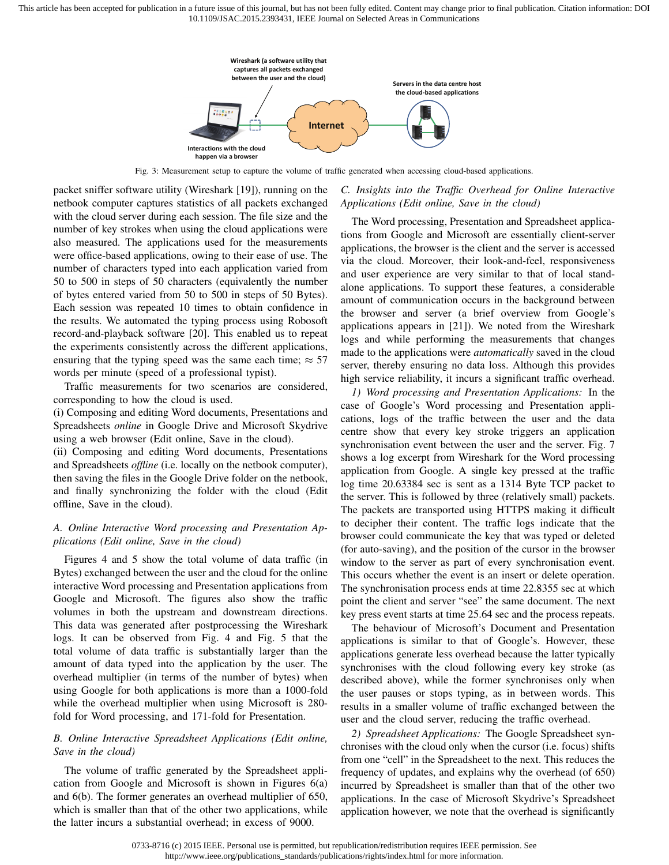

Fig. 3: Measurement setup to capture the volume of traffic generated when accessing cloud-based applications.

packet sniffer software utility (Wireshark [19]), running on the netbook computer captures statistics of all packets exchanged with the cloud server during each session. The file size and the number of key strokes when using the cloud applications were also measured. The applications used for the measurements were office-based applications, owing to their ease of use. The number of characters typed into each application varied from 50 to 500 in steps of 50 characters (equivalently the number of bytes entered varied from 50 to 500 in steps of 50 Bytes). Each session was repeated 10 times to obtain confidence in the results. We automated the typing process using Robosoft record-and-playback software [20]. This enabled us to repeat the experiments consistently across the different applications, ensuring that the typing speed was the same each time;  $\approx$  57 words per minute (speed of a professional typist).

Traffic measurements for two scenarios are considered, corresponding to how the cloud is used.

(i) Composing and editing Word documents, Presentations and Spreadsheets *online* in Google Drive and Microsoft Skydrive using a web browser (Edit online, Save in the cloud).

(ii) Composing and editing Word documents, Presentations and Spreadsheets *offline* (i.e. locally on the netbook computer), then saving the files in the Google Drive folder on the netbook, and finally synchronizing the folder with the cloud (Edit offline, Save in the cloud).

# *A. Online Interactive Word processing and Presentation Applications (Edit online, Save in the cloud)*

Figures 4 and 5 show the total volume of data traffic (in Bytes) exchanged between the user and the cloud for the online interactive Word processing and Presentation applications from Google and Microsoft. The figures also show the traffic volumes in both the upstream and downstream directions. This data was generated after postprocessing the Wireshark logs. It can be observed from Fig. 4 and Fig. 5 that the total volume of data traffic is substantially larger than the amount of data typed into the application by the user. The overhead multiplier (in terms of the number of bytes) when using Google for both applications is more than a 1000-fold while the overhead multiplier when using Microsoft is 280 fold for Word processing, and 171-fold for Presentation.

# *B. Online Interactive Spreadsheet Applications (Edit online, Save in the cloud)*

The volume of traffic generated by the Spreadsheet application from Google and Microsoft is shown in Figures 6(a) and 6(b). The former generates an overhead multiplier of 650, which is smaller than that of the other two applications, while the latter incurs a substantial overhead; in excess of 9000.

# *C. Insights into the Traffic Overhead for Online Interactive Applications (Edit online, Save in the cloud)*

The Word processing, Presentation and Spreadsheet applications from Google and Microsoft are essentially client-server applications, the browser is the client and the server is accessed via the cloud. Moreover, their look-and-feel, responsiveness and user experience are very similar to that of local standalone applications. To support these features, a considerable amount of communication occurs in the background between the browser and server (a brief overview from Google's applications appears in [21]). We noted from the Wireshark logs and while performing the measurements that changes made to the applications were *automatically* saved in the cloud server, thereby ensuring no data loss. Although this provides high service reliability, it incurs a significant traffic overhead.

*1) Word processing and Presentation Applications:* In the case of Google's Word processing and Presentation applications, logs of the traffic between the user and the data centre show that every key stroke triggers an application synchronisation event between the user and the server. Fig. 7 shows a log excerpt from Wireshark for the Word processing application from Google. A single key pressed at the traffic log time 20.63384 sec is sent as a 1314 Byte TCP packet to the server. This is followed by three (relatively small) packets. The packets are transported using HTTPS making it difficult to decipher their content. The traffic logs indicate that the browser could communicate the key that was typed or deleted (for auto-saving), and the position of the cursor in the browser window to the server as part of every synchronisation event. This occurs whether the event is an insert or delete operation. The synchronisation process ends at time 22.8355 sec at which point the client and server "see" the same document. The next key press event starts at time 25.64 sec and the process repeats.

The behaviour of Microsoft's Document and Presentation applications is similar to that of Google's. However, these applications generate less overhead because the latter typically synchronises with the cloud following every key stroke (as described above), while the former synchronises only when the user pauses or stops typing, as in between words. This results in a smaller volume of traffic exchanged between the user and the cloud server, reducing the traffic overhead.

*2) Spreadsheet Applications:* The Google Spreadsheet synchronises with the cloud only when the cursor (i.e. focus) shifts from one "cell" in the Spreadsheet to the next. This reduces the frequency of updates, and explains why the overhead (of 650) incurred by Spreadsheet is smaller than that of the other two applications. In the case of Microsoft Skydrive's Spreadsheet application however, we note that the overhead is significantly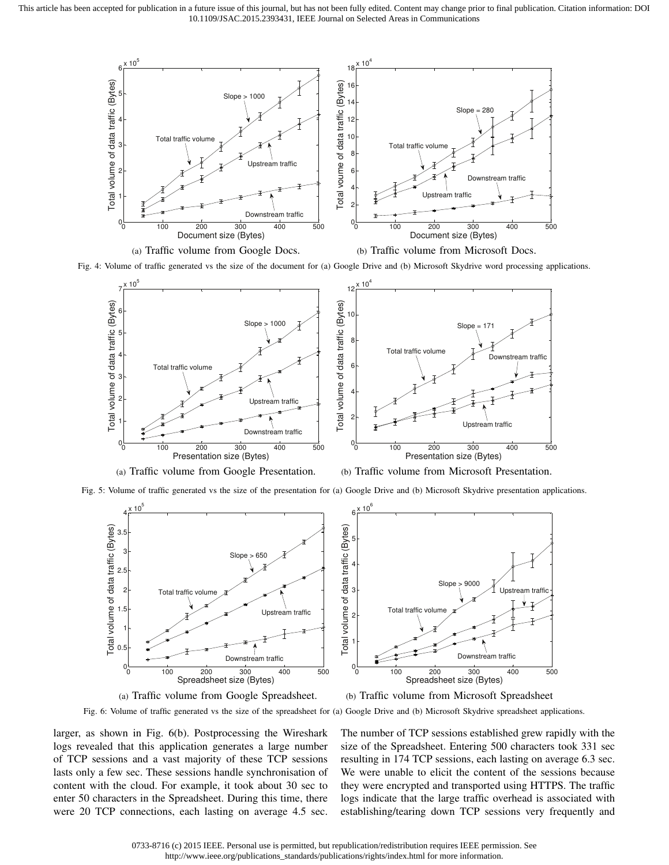

(a) Traffic volume from Google Docs.

(b) Traffic volume from Microsoft Docs.

Fig. 4: Volume of traffic generated vs the size of the document for (a) Google Drive and (b) Microsoft Skydrive word processing applications.



(a) Traffic volume from Google Presentation.

Fig. 5: Volume of traffic generated vs the size of the presentation for (a) Google Drive and (b) Microsoft Skydrive presentation applications.



(a) Traffic volume from Google Spreadsheet.

(b) Traffic volume from Microsoft Spreadsheet

Fig. 6: Volume of traffic generated vs the size of the spreadsheet for (a) Google Drive and (b) Microsoft Skydrive spreadsheet applications.

larger, as shown in Fig. 6(b). Postprocessing the Wireshark logs revealed that this application generates a large number of TCP sessions and a vast majority of these TCP sessions lasts only a few sec. These sessions handle synchronisation of content with the cloud. For example, it took about 30 sec to enter 50 characters in the Spreadsheet. During this time, there were 20 TCP connections, each lasting on average 4.5 sec. The number of TCP sessions established grew rapidly with the size of the Spreadsheet. Entering 500 characters took 331 sec resulting in 174 TCP sessions, each lasting on average 6.3 sec. We were unable to elicit the content of the sessions because they were encrypted and transported using HTTPS. The traffic logs indicate that the large traffic overhead is associated with establishing/tearing down TCP sessions very frequently and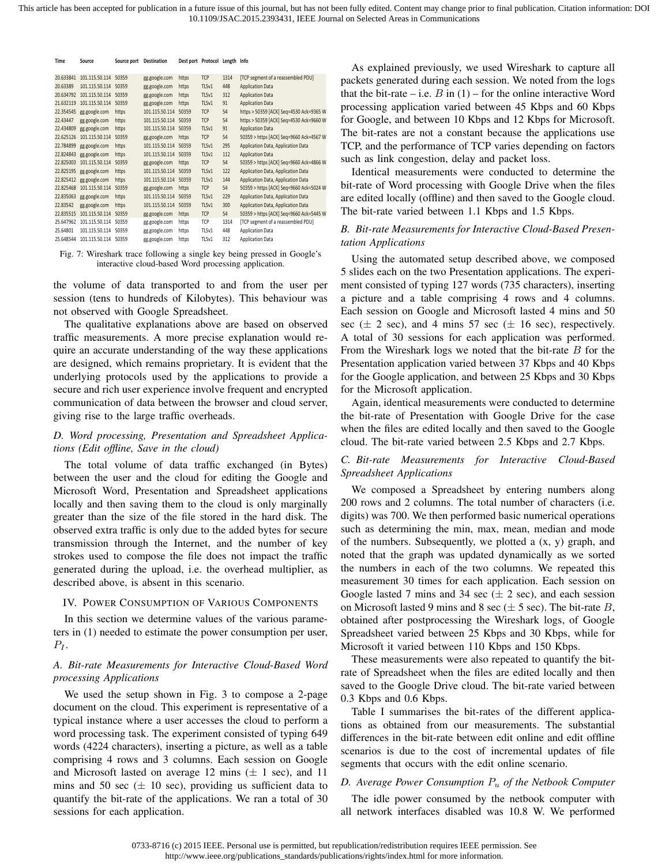| Time      | Source               | Source port | <b>Destination</b> |       | Dest port Protocol Length Info |      |                                         |
|-----------|----------------------|-------------|--------------------|-------|--------------------------------|------|-----------------------------------------|
| 20.633841 | 101.115.50.114 50359 |             | gg.google.com      | https | <b>TCP</b>                     | 1314 | [TCP segment of a reassembled PDU]      |
| 20.63389  | 101.115.50.114 50359 |             | gg.google.com      | https | TLSv1                          | 448  | <b>Application Data</b>                 |
| 20.634792 | 101.115.50.114       | 50359       | gg.google.com      | https | TLSv1                          | 312  | <b>Application Data</b>                 |
| 21.632119 | 101.115.50.114       | 50359       | gg.google.com      | https | TLSv1                          | 91   | <b>Application Data</b>                 |
| 22.354545 | gg.google.com        | https       | 101.115.50.114     | 50359 | <b>TCP</b>                     | 54   | https > 50359 [ACK] Seg=4530 Ack=9365 W |
| 22.43447  | gg.google.com        | https       | 101.115.50.114     | 50359 | <b>TCP</b>                     | 54   | https > 50359 [ACK] Seg=4530 Ack=9660 W |
| 22.434809 | gg.google.com        | https       | 101.115.50.114     | 50359 | TLSv1                          | 91   | <b>Application Data</b>                 |
| 22.625126 | 101.115.50.114       | 50359       | gg.google.com      | https | <b>TCP</b>                     | 54   | 50359 > https [ACK] Seq=9660 Ack=4567 W |
| 22.784899 | gg.google.com        | https       | 101.115.50.114     | 50359 | TLSv1                          | 295  | Application Data, Application Data      |
| 22.824843 | gg.google.com        | https       | 101.115.50.114     | 50359 | TLSv1                          | 112  | <b>Application Data</b>                 |
| 22.825003 | 101.115.50.114       | 50359       | gg.google.com      | https | <b>TCP</b>                     | 54   | 50359 > https [ACK] Seq=9660 Ack=4866 W |
| 22.825195 | gg.google.com        | https       | 101.115.50.114     | 50359 | TLSv1                          | 122  | Application Data, Application Data      |
| 22.825412 | gg.google.com        | https       | 101.115.50.114     | 50359 | TLSv1                          | 144  | Application Data, Application Data      |
| 22.825468 | 101.115.50.114       | 50359       | gg.google.com      | https | <b>TCP</b>                     | 54   | 50359 > https [ACK] Seq=9660 Ack=5024 W |
| 22.835063 | gg.google.com        | https       | 101.115.50.114     | 50359 | TLSv1                          | 229  | Application Data, Application Data      |
| 22.83542  | gg.google.com        | https       | 101.115.50.114     | 50359 | TLSv1                          | 300  | Application Data, Application Data      |
| 22.835515 | 101.115.50.114       | 50359       | gg.google.com      | https | <b>TCP</b>                     | 54   | 50359 > https [ACK] Seq=9660 Ack=5445 W |
| 25.647962 | 101.115.50.114       | 50359       | gg.google.com      | https | TCP                            | 1314 | [TCP segment of a reassembled PDU]      |
| 25.64801  | 101.115.50.114       | 50359       | gg.google.com      | https | TLSv1                          | 448  | <b>Application Data</b>                 |
| 25.648544 | 101.115.50.114 50359 |             | gg.google.com      | https | TLSv1                          | 312  | <b>Application Data</b>                 |

Fig. 7: Wireshark trace following a single key being pressed in Google's interactive cloud-based Word processing application.

the volume of data transported to and from the user per session (tens to hundreds of Kilobytes). This behaviour was not observed with Google Spreadsheet.

The qualitative explanations above are based on observed traffic measurements. A more precise explanation would require an accurate understanding of the way these applications are designed, which remains proprietary. It is evident that the underlying protocols used by the applications to provide a secure and rich user experience involve frequent and encrypted communication of data between the browser and cloud server, giving rise to the large traffic overheads.

# *D. Word processing, Presentation and Spreadsheet Applications (Edit offline, Save in the cloud)*

The total volume of data traffic exchanged (in Bytes) between the user and the cloud for editing the Google and Microsoft Word, Presentation and Spreadsheet applications locally and then saving them to the cloud is only marginally greater than the size of the file stored in the hard disk. The observed extra traffic is only due to the added bytes for secure transmission through the Internet, and the number of key strokes used to compose the file does not impact the traffic generated during the upload, i.e. the overhead multiplier, as described above, is absent in this scenario.

#### IV. POWER CONSUMPTION OF VARIOUS COMPONENTS

In this section we determine values of the various parameters in (1) needed to estimate the power consumption per user,  $P_I$ .

# *A. Bit-rate Measurements for Interactive Cloud-Based Word processing Applications*

We used the setup shown in Fig. 3 to compose a 2-page document on the cloud. This experiment is representative of a typical instance where a user accesses the cloud to perform a word processing task. The experiment consisted of typing 649 words (4224 characters), inserting a picture, as well as a table comprising 4 rows and 3 columns. Each session on Google and Microsoft lasted on average 12 mins (*±* 1 sec), and 11 mins and 50 sec  $(\pm 10 \text{ sec})$ , providing us sufficient data to quantify the bit-rate of the applications. We ran a total of 30 sessions for each application.

processing application varied between 45 Kbps and 60 Kbps for Google, and between 10 Kbps and 12 Kbps for Microsoft.  $A<sub>ck</sub> = 4567W$  The bit-rates are not a constant because the applications use Ack=4866 w such as link congestion, delay and packet loss. As explained previously, we used Wireshark to capture all packets generated during each session. We noted from the logs that the bit-rate – i.e.  $B$  in  $(1)$  – for the online interactive Word TCP, and the performance of TCP varies depending on factors

 $_{24W}$  bit-rate of Word processing with Google Drive when the files The bit-rate varied between 1.1 Kbps and 1.5 Kbps. Identical measurements were conducted to determine the are edited locally (offline) and then saved to the Google cloud.

## *B. Bit-rate Measurements for Interactive Cloud-Based Presentation Applications*

Using the automated setup described above, we composed 5 slides each on the two Presentation applications. The experiment consisted of typing 127 words (735 characters), inserting a picture and a table comprising 4 rows and 4 columns. Each session on Google and Microsoft lasted 4 mins and 50 sec  $(\pm 2 \text{ sec})$ , and 4 mins 57 sec  $(\pm 16 \text{ sec})$ , respectively. A total of 30 sessions for each application was performed. From the Wireshark logs we noted that the bit-rate *B* for the Presentation application varied between 37 Kbps and 40 Kbps for the Google application, and between 25 Kbps and 30 Kbps for the Microsoft application.

Again, identical measurements were conducted to determine the bit-rate of Presentation with Google Drive for the case when the files are edited locally and then saved to the Google cloud. The bit-rate varied between 2.5 Kbps and 2.7 Kbps.

## *C. Bit-rate Measurements for Interactive Cloud-Based Spreadsheet Applications*

We composed a Spreadsheet by entering numbers along 200 rows and 2 columns. The total number of characters (i.e. digits) was 700. We then performed basic numerical operations such as determining the min, max, mean, median and mode of the numbers. Subsequently, we plotted a (x, y) graph, and noted that the graph was updated dynamically as we sorted the numbers in each of the two columns. We repeated this measurement 30 times for each application. Each session on Google lasted 7 mins and 34 sec  $(\pm 2 \text{ sec})$ , and each session on Microsoft lasted 9 mins and 8 sec (*±* 5 sec). The bit-rate *B*, obtained after postprocessing the Wireshark logs, of Google Spreadsheet varied between 25 Kbps and 30 Kbps, while for Microsoft it varied between 110 Kbps and 150 Kbps.

These measurements were also repeated to quantify the bitrate of Spreadsheet when the files are edited locally and then saved to the Google Drive cloud. The bit-rate varied between 0.3 Kbps and 0.6 Kbps.

Table I summarises the bit-rates of the different applications as obtained from our measurements. The substantial differences in the bit-rate between edit online and edit offline scenarios is due to the cost of incremental updates of file segments that occurs with the edit online scenario.

## *D. Average Power Consumption P<sup>u</sup> of the Netbook Computer*

The idle power consumed by the netbook computer with all network interfaces disabled was 10.8 W. We performed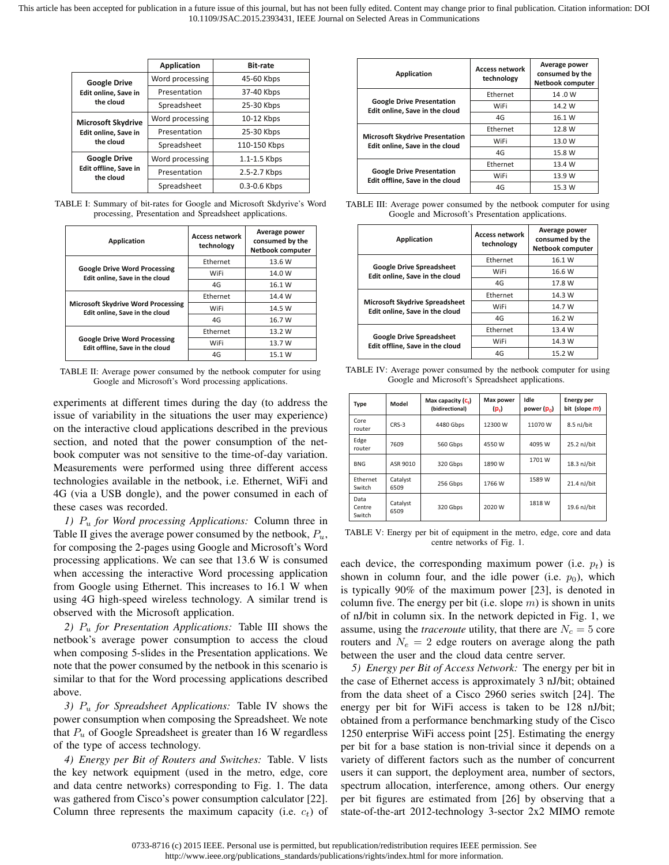|                                    | <b>Application</b> | <b>Bit-rate</b> |
|------------------------------------|--------------------|-----------------|
| <b>Google Drive</b>                | Word processing    | 45-60 Kbps      |
| Edit online, Save in               | Presentation       | 37-40 Kbps      |
| the cloud                          | Spreadsheet        | 25-30 Kbps      |
| <b>Microsoft Skydrive</b>          | Word processing    | 10-12 Kbps      |
| Edit online, Save in               | Presentation       | 25-30 Kbps      |
| the cloud                          | Spreadsheet        | 110-150 Kbps    |
| <b>Google Drive</b>                | Word processing    | 1.1-1.5 Kbps    |
| Edit offline, Save in<br>the cloud | Presentation       | 2.5-2.7 Kbps    |
|                                    | Spreadsheet        | 0.3-0.6 Kbps    |

TABLE I: Summary of bit-rates for Google and Microsoft Skdyrive's Word processing, Presentation and Spreadsheet applications.

| <b>Application</b>                                                          | <b>Access network</b><br>technology | Average power<br>consumed by the<br><b>Netbook computer</b> |
|-----------------------------------------------------------------------------|-------------------------------------|-------------------------------------------------------------|
|                                                                             | Ethernet                            | 13.6 W                                                      |
| <b>Google Drive Word Processing</b><br>Edit online, Save in the cloud       | WiFi                                | 14.0 W                                                      |
|                                                                             | 4G                                  | 16.1 W                                                      |
|                                                                             | Ethernet                            | 14.4 W                                                      |
| <b>Microsoft Skydrive Word Processing</b><br>Edit online, Save in the cloud | WiFi                                | 14.5 W                                                      |
|                                                                             | 4G                                  | 16.7 W                                                      |
|                                                                             | Ethernet                            | 13.2 W                                                      |
| <b>Google Drive Word Processing</b><br>Edit offline, Save in the cloud      | WiFi                                | 13.7 W                                                      |
|                                                                             | 4G                                  | 15.1 W                                                      |

TABLE II: Average power consumed by the netbook computer for using Google and Microsoft's Word processing applications.

experiments at different times during the day (to address the issue of variability in the situations the user may experience) on the interactive cloud applications described in the previous section, and noted that the power consumption of the netbook computer was not sensitive to the time-of-day variation. Measurements were performed using three different access technologies available in the netbook, i.e. Ethernet, WiFi and 4G (via a USB dongle), and the power consumed in each of these cases was recorded.

*1) P<sup>u</sup> for Word processing Applications:* Column three in Table II gives the average power consumed by the netbook, *Pu*, for composing the 2-pages using Google and Microsoft's Word processing applications. We can see that 13.6 W is consumed when accessing the interactive Word processing application from Google using Ethernet. This increases to 16.1 W when using 4G high-speed wireless technology. A similar trend is observed with the Microsoft application.

*2) P<sup>u</sup> for Presentation Applications:* Table III shows the netbook's average power consumption to access the cloud when composing 5-slides in the Presentation applications. We note that the power consumed by the netbook in this scenario is similar to that for the Word processing applications described above.

*3) P<sup>u</sup> for Spreadsheet Applications:* Table IV shows the power consumption when composing the Spreadsheet. We note that *P<sup>u</sup>* of Google Spreadsheet is greater than 16 W regardless of the type of access technology.

*4) Energy per Bit of Routers and Switches:* Table. V lists the key network equipment (used in the metro, edge, core and data centre networks) corresponding to Fig. 1. The data was gathered from Cisco's power consumption calculator [22]. Column three represents the maximum capacity (i.e.  $c_t$ ) of

| <b>Application</b>                                                       | <b>Access network</b><br>technology | Average power<br>consumed by the<br><b>Netbook computer</b> |
|--------------------------------------------------------------------------|-------------------------------------|-------------------------------------------------------------|
|                                                                          | Ethernet                            | 14.0W                                                       |
| <b>Google Drive Presentation</b><br>Edit online, Save in the cloud       | WiFi                                | 14.2 W                                                      |
|                                                                          | 4G                                  | 16.1 W                                                      |
|                                                                          | Ethernet                            | 12.8 W                                                      |
| <b>Microsoft Skydrive Presentation</b><br>Edit online, Save in the cloud | WiFi                                | 13.0 W                                                      |
|                                                                          | 4G                                  | 15.8 W                                                      |
|                                                                          | Ethernet                            | 13.4 W                                                      |
| <b>Google Drive Presentation</b><br>Edit offline, Save in the cloud      | WiFi                                | 13.9 W                                                      |
|                                                                          | 4G                                  | 15.3 W                                                      |

TABLE III: Average power consumed by the netbook computer for using Google and Microsoft's Presentation applications.

| <b>Application</b>                                                      | <b>Access network</b><br>technology | Average power<br>consumed by the<br><b>Netbook computer</b> |
|-------------------------------------------------------------------------|-------------------------------------|-------------------------------------------------------------|
|                                                                         | Ethernet                            | 16.1 W                                                      |
| <b>Google Drive Spreadsheet</b><br>Edit online, Save in the cloud       | WiFi                                | 16.6 W                                                      |
|                                                                         | 4G                                  | 17.8 W                                                      |
|                                                                         | Ethernet                            | 14.3 W                                                      |
| <b>Microsoft Skydrive Spreadsheet</b><br>Edit online, Save in the cloud | WiFi                                | 14.7 W                                                      |
|                                                                         | 4G                                  | 16.2 W                                                      |
|                                                                         | Ethernet                            | 13.4 W                                                      |
| <b>Google Drive Spreadsheet</b><br>Edit offline. Save in the cloud      | WiFi                                | 14.3 W                                                      |
|                                                                         | 4G                                  | 15.2 W                                                      |

TABLE IV: Average power consumed by the netbook computer for using Google and Microsoft's Spreadsheet applications.

| Type                     | Model            | Max capacity $(c_i)$<br>(bidirectional) | <b>Max power</b><br>$(p_t)$ | Idle<br>power (p <sub>n</sub> ) | <b>Energy per</b><br>bit (slope <i>m</i> ) |
|--------------------------|------------------|-----------------------------------------|-----------------------------|---------------------------------|--------------------------------------------|
| Core<br>router           | $CRS-3$          | 4480 Gbps                               | 12300 W                     | 11070 W                         | 8.5 nJ/bit                                 |
| Edge<br>router           | 7609             | 560 Gbps                                | 4550 W                      | 4095 W                          | 25.2 nJ/bit                                |
| <b>BNG</b>               | ASR 9010         | 320 Gbps                                | 1890 W                      | 1701 W                          | 18.3 nJ/bit                                |
| Ethernet<br>Switch       | Catalyst<br>6509 | 256 Gbps                                | 1766 W                      | 1589 W                          | 21.4 nJ/bit                                |
| Data<br>Centre<br>Switch | Catalyst<br>6509 | 320 Gbps                                | 2020 W                      | 1818 W                          | 19.6 nJ/bit                                |

TABLE V: Energy per bit of equipment in the metro, edge, core and data centre networks of Fig. 1.

each device, the corresponding maximum power (i.e.  $p_t$ ) is shown in column four, and the idle power (i.e.  $p_0$ ), which is typically 90% of the maximum power [23], is denoted in column five. The energy per bit (i.e. slope *m*) is shown in units of nJ/bit in column six. In the network depicted in Fig. 1, we assume, using the *traceroute* utility, that there are  $N_c = 5$  core routers and  $N_e = 2$  edge routers on average along the path between the user and the cloud data centre server.

*5) Energy per Bit of Access Network:* The energy per bit in the case of Ethernet access is approximately 3 nJ/bit; obtained from the data sheet of a Cisco 2960 series switch [24]. The energy per bit for WiFi access is taken to be 128 nJ/bit; obtained from a performance benchmarking study of the Cisco 1250 enterprise WiFi access point [25]. Estimating the energy per bit for a base station is non-trivial since it depends on a variety of different factors such as the number of concurrent users it can support, the deployment area, number of sectors, spectrum allocation, interference, among others. Our energy per bit figures are estimated from [26] by observing that a state-of-the-art 2012-technology 3-sector 2x2 MIMO remote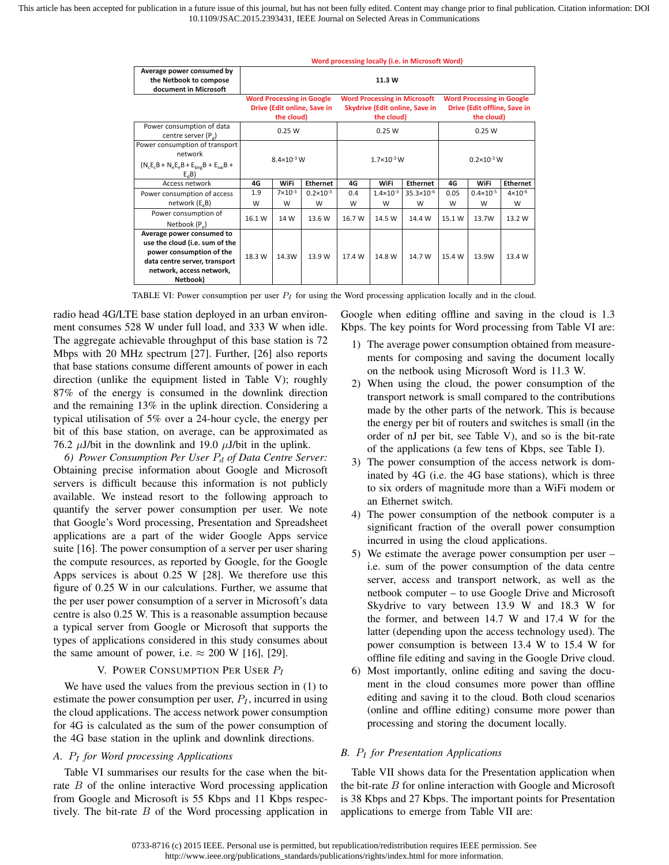|                                                                                                                                                                  | Word processing locally (i.e. in Microsoft Word)                              |                    |                      |                                                                                     |                      |                       |                                                                                |                      |                    |
|------------------------------------------------------------------------------------------------------------------------------------------------------------------|-------------------------------------------------------------------------------|--------------------|----------------------|-------------------------------------------------------------------------------------|----------------------|-----------------------|--------------------------------------------------------------------------------|----------------------|--------------------|
| Average power consumed by<br>the Netbook to compose<br>document in Microsoft                                                                                     |                                                                               |                    |                      |                                                                                     | 11.3 W               |                       |                                                                                |                      |                    |
|                                                                                                                                                                  | <b>Word Processing in Google</b><br>Drive (Edit online, Save in<br>the cloud) |                    |                      | <b>Word Processing in Microsoft</b><br>Skydrive (Edit online, Save in<br>the cloud) |                      |                       | <b>Word Processing in Google</b><br>Drive (Edit offline, Save in<br>the cloud) |                      |                    |
| Power consumption of data<br>centre server $(P_d)$                                                                                                               | 0.25W                                                                         |                    |                      | 0.25W                                                                               |                      |                       | 0.25 W                                                                         |                      |                    |
| Power consumption of transport<br>network<br>$(N_cE_cB + N_eE_eB + E_{bng}B + E_{sw}B +$<br>$E_{d}B$                                                             | $8.4 \times 10^{-3}$ W                                                        |                    |                      | $1.7 \times 10^{-3}$ W                                                              |                      |                       | $0.2 \times 10^{-3}$ W                                                         |                      |                    |
| Access network                                                                                                                                                   | 4G                                                                            | <b>WiFi</b>        | <b>Ethernet</b>      | 4G                                                                                  | <b>WiFi</b>          | <b>Ethernet</b>       | 4G                                                                             | <b>WiFi</b>          | <b>Ethernet</b>    |
| Power consumption of access                                                                                                                                      | 1.9                                                                           | $7 \times 10^{-3}$ | $0.2 \times 10^{-3}$ | 0.4                                                                                 | $1.4 \times 10^{-3}$ | $35.3 \times 10^{-6}$ | 0.05                                                                           | $0.4 \times 10^{-5}$ | $4 \times 10^{-6}$ |
| network (E <sub>3</sub> B)                                                                                                                                       | W                                                                             | W                  | W                    | W                                                                                   | W                    | W                     | W                                                                              | W                    | W                  |
| Power consumption of<br>Netbook (P <sub>u</sub> )                                                                                                                | 16.1 W                                                                        | 14 W               | 13.6 W               | 16.7 W                                                                              | 14.5 W               | 14.4 W                | 15.1 W                                                                         | 13.7W                | 13.2 W             |
| Average power consumed to<br>use the cloud (i.e. sum of the<br>power consumption of the<br>data centre server, transport<br>network, access network,<br>Netbook) | 18.3 W                                                                        | 14.3W              | 13.9 W               | 17.4 W                                                                              | 14.8 W               | 14.7 W                | 15.4 W                                                                         | 13.9W                | 13.4 W             |

TABLE VI: Power consumption per user *P<sup>I</sup>* for using the Word processing application locally and in the cloud.

radio head 4G/LTE base station deployed in an urban environment consumes 528 W under full load, and 333 W when idle. The aggregate achievable throughput of this base station is 72 Mbps with 20 MHz spectrum [27]. Further, [26] also reports that base stations consume different amounts of power in each direction (unlike the equipment listed in Table V); roughly 87% of the energy is consumed in the downlink direction and the remaining 13% in the uplink direction. Considering a typical utilisation of 5% over a 24-hour cycle, the energy per bit of this base station, on average, can be approximated as 76.2  $\mu$ J/bit in the downlink and 19.0  $\mu$ J/bit in the uplink.

*6) Power Consumption Per User P<sup>d</sup> of Data Centre Server:* Obtaining precise information about Google and Microsoft servers is difficult because this information is not publicly available. We instead resort to the following approach to quantify the server power consumption per user. We note that Google's Word processing, Presentation and Spreadsheet applications are a part of the wider Google Apps service suite [16]. The power consumption of a server per user sharing the compute resources, as reported by Google, for the Google Apps services is about 0.25 W [28]. We therefore use this figure of 0.25 W in our calculations. Further, we assume that the per user power consumption of a server in Microsoft's data centre is also 0.25 W. This is a reasonable assumption because a typical server from Google or Microsoft that supports the types of applications considered in this study consumes about the same amount of power, i.e.  $\approx 200$  W [16], [29].

#### V. POWER CONSUMPTION PER USER *P<sup>I</sup>*

We have used the values from the previous section in (1) to estimate the power consumption per user,  $P_I$ , incurred in using the cloud applications. The access network power consumption for 4G is calculated as the sum of the power consumption of the 4G base station in the uplink and downlink directions.

## *A. P<sup>I</sup> for Word processing Applications*

Table VI summarises our results for the case when the bitrate *B* of the online interactive Word processing application from Google and Microsoft is 55 Kbps and 11 Kbps respectively. The bit-rate *B* of the Word processing application in Google when editing offline and saving in the cloud is 1.3 Kbps. The key points for Word processing from Table VI are:

- 1) The average power consumption obtained from measurements for composing and saving the document locally on the netbook using Microsoft Word is 11.3 W.
- 2) When using the cloud, the power consumption of the transport network is small compared to the contributions made by the other parts of the network. This is because the energy per bit of routers and switches is small (in the order of nJ per bit, see Table V), and so is the bit-rate of the applications (a few tens of Kbps, see Table I).
- 3) The power consumption of the access network is dominated by 4G (i.e. the 4G base stations), which is three to six orders of magnitude more than a WiFi modem or an Ethernet switch.
- 4) The power consumption of the netbook computer is a significant fraction of the overall power consumption incurred in using the cloud applications.
- 5) We estimate the average power consumption per user i.e. sum of the power consumption of the data centre server, access and transport network, as well as the netbook computer – to use Google Drive and Microsoft Skydrive to vary between 13.9 W and 18.3 W for the former, and between 14.7 W and 17.4 W for the latter (depending upon the access technology used). The power consumption is between 13.4 W to 15.4 W for offline file editing and saving in the Google Drive cloud.
- 6) Most importantly, online editing and saving the document in the cloud consumes more power than offline editing and saving it to the cloud. Both cloud scenarios (online and offline editing) consume more power than processing and storing the document locally.

#### *B. P<sup>I</sup> for Presentation Applications*

Table VII shows data for the Presentation application when the bit-rate *B* for online interaction with Google and Microsoft is 38 Kbps and 27 Kbps. The important points for Presentation applications to emerge from Table VII are: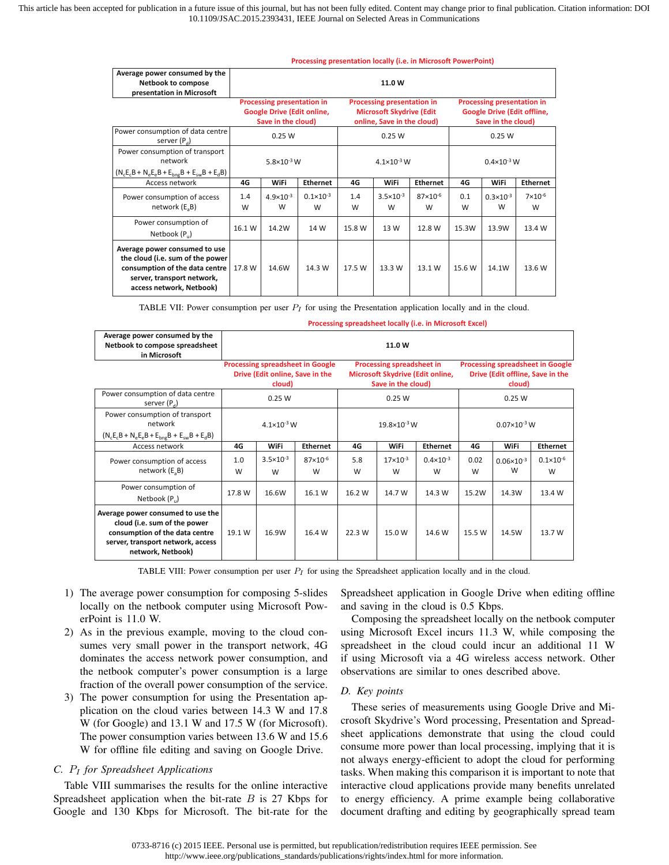|                                                                                                                                                               | Processing presentation locally (i.e. in Microsoft PowerPoint)                        |                           |                           |                                                                                             |                           |                        |                                                                                               |                           |                         |
|---------------------------------------------------------------------------------------------------------------------------------------------------------------|---------------------------------------------------------------------------------------|---------------------------|---------------------------|---------------------------------------------------------------------------------------------|---------------------------|------------------------|-----------------------------------------------------------------------------------------------|---------------------------|-------------------------|
| Average power consumed by the<br>Netbook to compose<br>presentation in Microsoft                                                                              |                                                                                       |                           |                           |                                                                                             | 11.0 W                    |                        |                                                                                               |                           |                         |
|                                                                                                                                                               | Processing presentation in<br><b>Google Drive (Edit online,</b><br>Save in the cloud) |                           |                           | Processing presentation in<br><b>Microsoft Skydrive (Edit</b><br>online, Save in the cloud) |                           |                        | <b>Processing presentation in</b><br><b>Google Drive (Edit offline,</b><br>Save in the cloud) |                           |                         |
| Power consumption of data centre<br>server $(P_a)$                                                                                                            | 0.25 W                                                                                |                           |                           | 0.25 W                                                                                      |                           |                        | 0.25 W                                                                                        |                           |                         |
| Power consumption of transport<br>network<br>$(N_{c}E_{c}B + N_{e}E_{e}B + E_{b}B + E_{c}B + E_{d}B)$                                                         | $5.8 \times 10^{-3}$ W                                                                |                           | $4.1 \times 10^{-3}$ W    |                                                                                             |                           | $0.4 \times 10^{-3}$ W |                                                                                               |                           |                         |
| Access network                                                                                                                                                | 4G                                                                                    | <b>WiFi</b>               | <b>Ethernet</b>           | 4G                                                                                          | WiFi                      | <b>Ethernet</b>        | 4G                                                                                            | WiFi                      | <b>Ethernet</b>         |
| Power consumption of access<br>network (E <sub>3</sub> B)                                                                                                     | 1.4<br>W                                                                              | $4.9 \times 10^{-3}$<br>W | $0.1 \times 10^{-3}$<br>W | 1.4<br>W                                                                                    | $3.5 \times 10^{-3}$<br>W | $87\times10^{-6}$<br>W | 0.1<br>W                                                                                      | $0.3 \times 10^{-3}$<br>W | $7 \times 10^{-6}$<br>W |
| Power consumption of<br>Netbook (P <sub>u</sub> )                                                                                                             | 16.1 W                                                                                | 14.2W                     | 14 W                      | 15.8 W                                                                                      | 13 W                      | 12.8 W                 | 15.3W                                                                                         | 13.9W                     | 13.4 W                  |
| Average power consumed to use<br>the cloud (i.e. sum of the power<br>consumption of the data centre<br>server, transport network,<br>access network, Netbook) | 17.8 W                                                                                | 14.6W                     | 14.3 W                    | 17.5 W                                                                                      | 13.3 W                    | 13.1 W                 | 15.6 W                                                                                        | 14.1W                     | 13.6 W                  |

TABLE VII: Power consumption per user *P<sup>I</sup>* for using the Presentation application locally and in the cloud.

|                                | Processing spreadsheet locally (i.e. in Microsoft Excel) |
|--------------------------------|----------------------------------------------------------|
| Average power consumed by the  |                                                          |
| Netbook to compose spreadsheet | 11.0 W                                                   |
|                                |                                                          |

| Netbook to compose spreadsheet<br>in Microsoft                                                                                                                | 11.0 W                 |                                           |                                         |                                                                                            |                        |                           |                                                                                       |                            |                           |  |
|---------------------------------------------------------------------------------------------------------------------------------------------------------------|------------------------|-------------------------------------------|-----------------------------------------|--------------------------------------------------------------------------------------------|------------------------|---------------------------|---------------------------------------------------------------------------------------|----------------------------|---------------------------|--|
|                                                                                                                                                               |                        | Drive (Edit online, Save in the<br>cloud) | <b>Processing spreadsheet in Google</b> | <b>Processing spreadsheet in</b><br>Microsoft Skydrive (Edit online,<br>Save in the cloud) |                        |                           | <b>Processing spreadsheet in Google</b><br>Drive (Edit offline, Save in the<br>cloud) |                            |                           |  |
| Power consumption of data centre<br>server $(P_a)$                                                                                                            | 0.25W                  |                                           |                                         |                                                                                            | 0.25W                  |                           |                                                                                       | 0.25W                      |                           |  |
| Power consumption of transport<br>network<br>$(N_c E_c B + N_e E_e B + E_{bno} B + E_{sw} B + E_d B)$                                                         | $4.1 \times 10^{-3}$ W |                                           |                                         | 19.8×10-3 W                                                                                |                        |                           | $0.07\times10^{-3}$ W                                                                 |                            |                           |  |
| Access network                                                                                                                                                | 4G                     | <b>WiFi</b>                               | <b>Ethernet</b>                         | 4G                                                                                         | WiFi                   | <b>Ethernet</b>           | 4G                                                                                    | <b>WiFi</b>                | <b>Ethernet</b>           |  |
| Power consumption of access<br>network (E <sub>3</sub> B)                                                                                                     | 1.0<br>W               | $3.5 \times 10^{-3}$<br>W                 | $87\times10^{-6}$<br>W                  | 5.8<br>W                                                                                   | $17\times10^{-3}$<br>W | $0.4 \times 10^{-3}$<br>W | 0.02<br>W                                                                             | $0.06 \times 10^{-3}$<br>W | $0.1 \times 10^{-6}$<br>W |  |
| Power consumption of<br>Netbook (P.)                                                                                                                          | 17.8 W                 | 16.6W                                     | 16.1 W                                  | 16.2 W                                                                                     | 14.7 W                 | 14.3 W                    | 15.2W                                                                                 | 14.3W                      | 13.4 W                    |  |
| Average power consumed to use the<br>cloud (i.e. sum of the power<br>consumption of the data centre<br>server, transport network, access<br>network, Netbook) | 19.1 W                 | 16.9W                                     | 16.4 W                                  | 22.3 W                                                                                     | 15.0 W                 | 14.6 W                    | 15.5 W                                                                                | 14.5W                      | 13.7 W                    |  |

TABLE VIII: Power consumption per user *P<sup>I</sup>* for using the Spreadsheet application locally and in the cloud.

- 1) The average power consumption for composing 5-slides locally on the netbook computer using Microsoft PowerPoint is 11.0 W.
- 2) As in the previous example, moving to the cloud consumes very small power in the transport network, 4G dominates the access network power consumption, and the netbook computer's power consumption is a large fraction of the overall power consumption of the service.
- 3) The power consumption for using the Presentation application on the cloud varies between 14.3 W and 17.8 W (for Google) and 13.1 W and 17.5 W (for Microsoft). The power consumption varies between 13.6 W and 15.6 W for offline file editing and saving on Google Drive.

# *C. P<sup>I</sup> for Spreadsheet Applications*

Table VIII summarises the results for the online interactive Spreadsheet application when the bit-rate *B* is 27 Kbps for Google and 130 Kbps for Microsoft. The bit-rate for the Spreadsheet application in Google Drive when editing offline and saving in the cloud is 0.5 Kbps.

Composing the spreadsheet locally on the netbook computer using Microsoft Excel incurs 11.3 W, while composing the spreadsheet in the cloud could incur an additional 11 W if using Microsoft via a 4G wireless access network. Other observations are similar to ones described above.

### *D. Key points*

These series of measurements using Google Drive and Microsoft Skydrive's Word processing, Presentation and Spreadsheet applications demonstrate that using the cloud could consume more power than local processing, implying that it is not always energy-efficient to adopt the cloud for performing tasks. When making this comparison it is important to note that interactive cloud applications provide many benefits unrelated to energy efficiency. A prime example being collaborative document drafting and editing by geographically spread team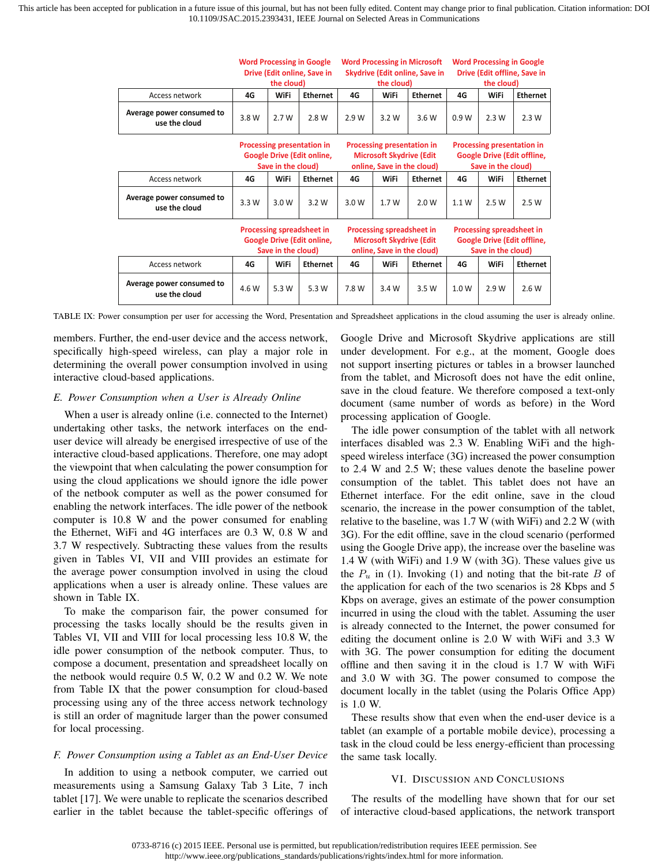|                                            |                                                                                              | <b>Word Processing in Google</b><br><b>Word Processing in Microsoft</b><br>Drive (Edit online, Save in<br>Skydrive (Edit online, Save in<br>the cloud)<br>the cloud) |                                                                                                   |                                                                                             | <b>Word Processing in Google</b><br>Drive (Edit offline, Save in<br>the cloud) |                                                                                              |                                                                                               |             |                 |
|--------------------------------------------|----------------------------------------------------------------------------------------------|----------------------------------------------------------------------------------------------------------------------------------------------------------------------|---------------------------------------------------------------------------------------------------|---------------------------------------------------------------------------------------------|--------------------------------------------------------------------------------|----------------------------------------------------------------------------------------------|-----------------------------------------------------------------------------------------------|-------------|-----------------|
| Access network                             | 4G                                                                                           | WiFi                                                                                                                                                                 | <b>Ethernet</b>                                                                                   | 4G                                                                                          | WiFi                                                                           | <b>Ethernet</b>                                                                              | 4G                                                                                            | <b>WiFi</b> | <b>Ethernet</b> |
| Average power consumed to<br>use the cloud | 3.8 W                                                                                        | 2.7 W                                                                                                                                                                | 2.8 W                                                                                             | 2.9 W                                                                                       | 3.2 W                                                                          | 3.6 W                                                                                        | 0.9W                                                                                          | 2.3W        | 2.3W            |
|                                            | <b>Processing presentation in</b><br><b>Google Drive (Edit online,</b><br>Save in the cloud) |                                                                                                                                                                      |                                                                                                   | Processing presentation in<br><b>Microsoft Skydrive (Edit</b><br>online, Save in the cloud) |                                                                                |                                                                                              | <b>Processing presentation in</b><br><b>Google Drive (Edit offline,</b><br>Save in the cloud) |             |                 |
| Access network                             | 4G                                                                                           | WiFi                                                                                                                                                                 | <b>Ethernet</b>                                                                                   | 4G                                                                                          | WiFi                                                                           | <b>Ethernet</b>                                                                              | 4G                                                                                            | WiFi        | <b>Ethernet</b> |
| Average power consumed to<br>use the cloud | 3.3W                                                                                         | 3.0 W                                                                                                                                                                | 3.2W                                                                                              | 3.0W                                                                                        | 1.7W                                                                           | 2.0 W                                                                                        | 1.1 W                                                                                         | 2.5W        | 2.5 W           |
|                                            | Processing spreadsheet in<br><b>Google Drive (Edit online,</b><br>Save in the cloud)         |                                                                                                                                                                      | <b>Processing spreadsheet in</b><br><b>Microsoft Skydrive (Edit</b><br>online, Save in the cloud) |                                                                                             |                                                                                | <b>Processing spreadsheet in</b><br><b>Google Drive (Edit offline,</b><br>Save in the cloud) |                                                                                               |             |                 |
| Access network                             | 4G                                                                                           | WiFi                                                                                                                                                                 | <b>Ethernet</b>                                                                                   | 4G                                                                                          | WiFi                                                                           | <b>Ethernet</b>                                                                              | 4G                                                                                            | <b>WiFi</b> | <b>Ethernet</b> |
| Average power consumed to<br>use the cloud | 4.6 W                                                                                        | 5.3 W                                                                                                                                                                | 5.3 W                                                                                             | 7.8 W                                                                                       | 3.4 W                                                                          | 3.5 W                                                                                        | 1.0 W                                                                                         | 2.9 W       | 2.6W            |

TABLE IX: Power consumption per user for accessing the Word, Presentation and Spreadsheet applications in the cloud assuming the user is already online.

members. Further, the end-user device and the access network, specifically high-speed wireless, can play a major role in determining the overall power consumption involved in using interactive cloud-based applications.

## *E. Power Consumption when a User is Already Online*

When a user is already online (i.e. connected to the Internet) undertaking other tasks, the network interfaces on the enduser device will already be energised irrespective of use of the interactive cloud-based applications. Therefore, one may adopt the viewpoint that when calculating the power consumption for using the cloud applications we should ignore the idle power of the netbook computer as well as the power consumed for enabling the network interfaces. The idle power of the netbook computer is 10.8 W and the power consumed for enabling the Ethernet, WiFi and 4G interfaces are 0.3 W, 0.8 W and 3.7 W respectively. Subtracting these values from the results given in Tables VI, VII and VIII provides an estimate for the average power consumption involved in using the cloud applications when a user is already online. These values are shown in Table IX.

To make the comparison fair, the power consumed for processing the tasks locally should be the results given in Tables VI, VII and VIII for local processing less 10.8 W, the idle power consumption of the netbook computer. Thus, to compose a document, presentation and spreadsheet locally on the netbook would require 0.5 W, 0.2 W and 0.2 W. We note from Table IX that the power consumption for cloud-based processing using any of the three access network technology is still an order of magnitude larger than the power consumed for local processing.

#### *F. Power Consumption using a Tablet as an End-User Device*

In addition to using a netbook computer, we carried out measurements using a Samsung Galaxy Tab 3 Lite, 7 inch tablet [17]. We were unable to replicate the scenarios described earlier in the tablet because the tablet-specific offerings of Google Drive and Microsoft Skydrive applications are still under development. For e.g., at the moment, Google does not support inserting pictures or tables in a browser launched from the tablet, and Microsoft does not have the edit online, save in the cloud feature. We therefore composed a text-only document (same number of words as before) in the Word processing application of Google.

The idle power consumption of the tablet with all network interfaces disabled was 2.3 W. Enabling WiFi and the highspeed wireless interface (3G) increased the power consumption to 2.4 W and 2.5 W; these values denote the baseline power consumption of the tablet. This tablet does not have an Ethernet interface. For the edit online, save in the cloud scenario, the increase in the power consumption of the tablet, relative to the baseline, was 1.7 W (with WiFi) and 2.2 W (with 3G). For the edit offline, save in the cloud scenario (performed using the Google Drive app), the increase over the baseline was 1.4 W (with WiFi) and 1.9 W (with 3G). These values give us the  $P_u$  in (1). Invoking (1) and noting that the bit-rate  $B$  of the application for each of the two scenarios is 28 Kbps and 5 Kbps on average, gives an estimate of the power consumption incurred in using the cloud with the tablet. Assuming the user is already connected to the Internet, the power consumed for editing the document online is 2.0 W with WiFi and 3.3 W with 3G. The power consumption for editing the document offline and then saving it in the cloud is 1.7 W with WiFi and 3.0 W with 3G. The power consumed to compose the document locally in the tablet (using the Polaris Office App) is 1.0 W.

These results show that even when the end-user device is a tablet (an example of a portable mobile device), processing a task in the cloud could be less energy-efficient than processing the same task locally.

#### VI. DISCUSSION AND CONCLUSIONS

The results of the modelling have shown that for our set of interactive cloud-based applications, the network transport